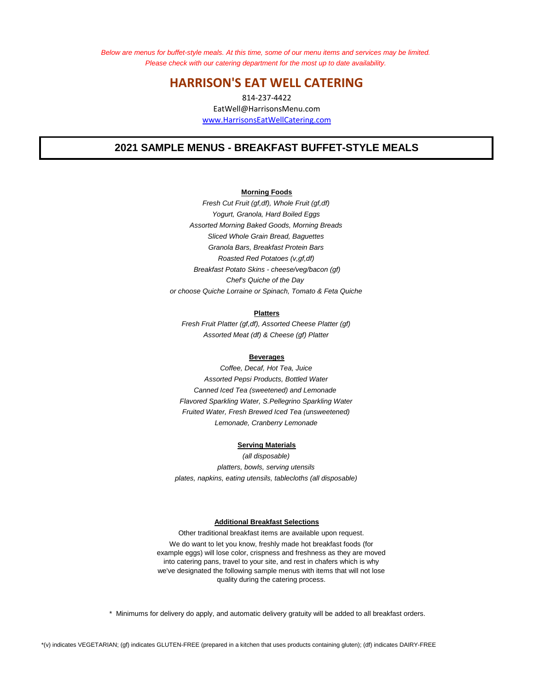*Below are menus for buffet-style meals. At this time, some of our menu items and services may be limited. Please check with our catering department for the most up to date availability.* 

# **HARRISON'S EAT WELL CATERING**

www.HarrisonsEatWellCatering.com 814-237-4422 EatWell@HarrisonsMenu.com

# **2021 SAMPLE MENUS - BREAKFAST BUFFET-STYLE MEALS**

## **Morning Foods**

*Yogurt, Granola, Hard Boiled Eggs Breakfast Potato Skins - cheese/veg/bacon (gf) Sliced Whole Grain Bread, Baguettes or choose Quiche Lorraine or Spinach, Tomato & Feta Quiche Assorted Morning Baked Goods, Morning Breads Fresh Cut Fruit (gf,df), Whole Fruit (gf,df) Roasted Red Potatoes (v,gf,df) Chef's Quiche of the Day Granola Bars, Breakfast Protein Bars*

### **Platters**

*Assorted Meat (df) & Cheese (gf) Platter Fresh Fruit Platter (gf,df), Assorted Cheese Platter (gf)*

#### **Beverages**

*Canned Iced Tea (sweetened) and Lemonade Flavored Sparkling Water, S.Pellegrino Sparkling Water Lemonade, Cranberry Lemonade Fruited Water, Fresh Brewed Iced Tea (unsweetened) Coffee, Decaf, Hot Tea, Juice Assorted Pepsi Products, Bottled Water*

### **Serving Materials**

*plates, napkins, eating utensils, tablecloths (all disposable) platters, bowls, serving utensils (all disposable)*

#### **Additional Breakfast Selections**

Other traditional breakfast items are available upon request. We do want to let you know, freshly made hot breakfast foods (for example eggs) will lose color, crispness and freshness as they are moved into catering pans, travel to your site, and rest in chafers which is why we've designated the following sample menus with items that will not lose quality during the catering process.

\* Minimums for delivery do apply, and automatic delivery gratuity will be added to all breakfast orders.